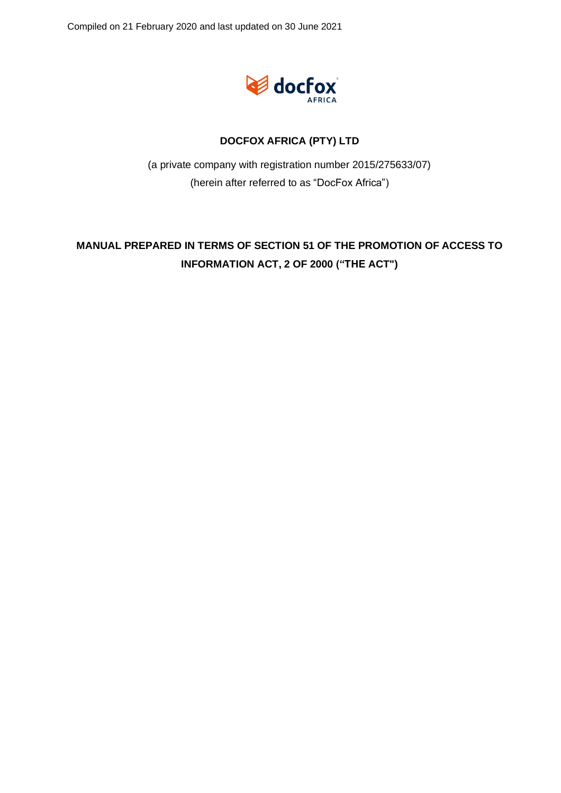

### **DOCFOX AFRICA (PTY) LTD**

(a private company with registration number 2015/275633/07) (herein after referred to as "DocFox Africa")

## **MANUAL PREPARED IN TERMS OF SECTION 51 OF THE PROMOTION OF ACCESS TO INFORMATION ACT, 2 OF 2000 ("THE ACT")**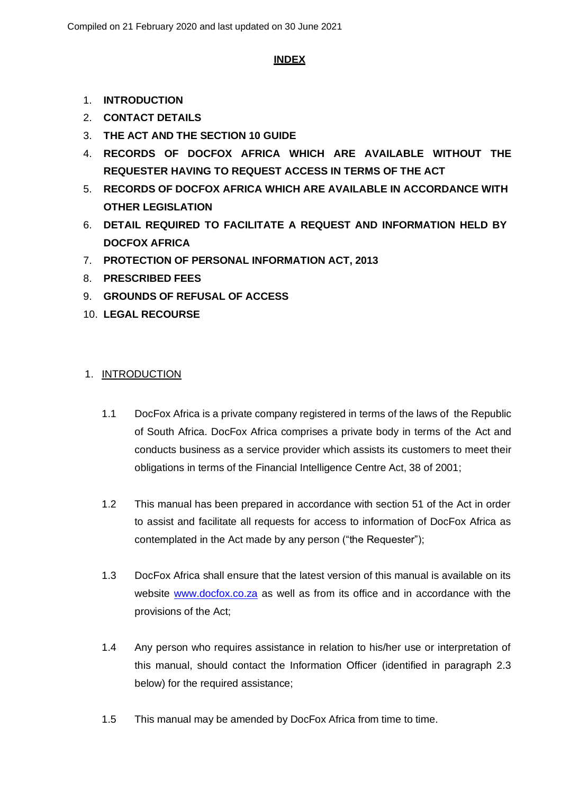### **INDEX**

- 1. **INTRODUCTION**
- 2. **CONTACT DETAILS**
- 3. **THE ACT AND THE SECTION 10 GUIDE**
- 4. **RECORDS OF DOCFOX AFRICA WHICH ARE AVAILABLE WITHOUT THE REQUESTER HAVING TO REQUEST ACCESS IN TERMS OF THE ACT**
- 5. **RECORDS OF DOCFOX AFRICA WHICH ARE AVAILABLE IN ACCORDANCE WITH OTHER LEGISLATION**
- 6. **DETAIL REQUIRED TO FACILITATE A REQUEST AND INFORMATION HELD BY DOCFOX AFRICA**
- 7. **PROTECTION OF PERSONAL INFORMATION ACT, 2013**
- 8. **PRESCRIBED FEES**
- 9. **GROUNDS OF REFUSAL OF ACCESS**
- 10. **LEGAL RECOURSE**

### 1. INTRODUCTION

- 1.1 DocFox Africa is a private company registered in terms of the laws of the Republic of South Africa. DocFox Africa comprises a private body in terms of the Act and conducts business as a service provider which assists its customers to meet their obligations in terms of the Financial Intelligence Centre Act, 38 of 2001;
- 1.2 This manual has been prepared in accordance with section 51 of the Act in order to assist and facilitate all requests for access to information of DocFox Africa as contemplated in the Act made by any person ("the Requester");
- 1.3 DocFox Africa shall ensure that the latest version of this manual is available on its website [www.docfox.co.za](http://www.docfox.co.za/) as well as from its office and in accordance with the provisions of the Act;
- 1.4 Any person who requires assistance in relation to his/her use or interpretation of this manual, should contact the Information Officer (identified in paragraph 2.3 below) for the required assistance;
- 1.5 This manual may be amended by DocFox Africa from time to time.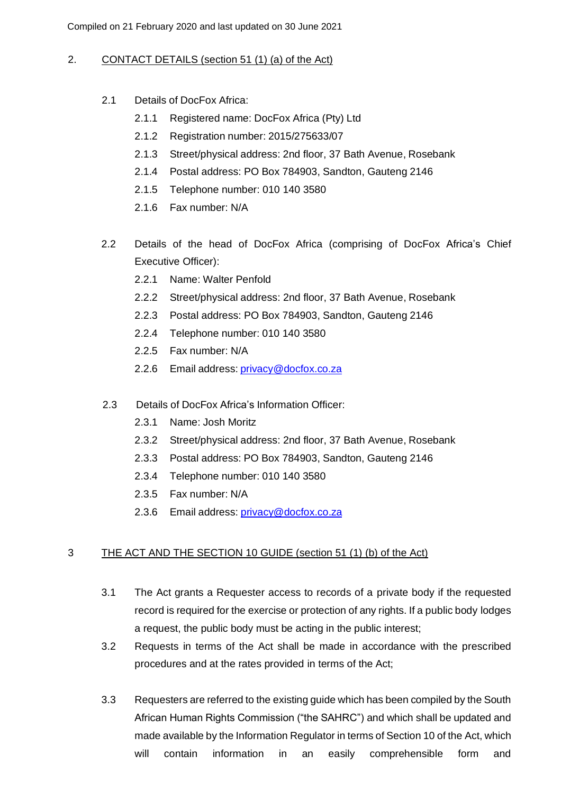### 2. CONTACT DETAILS (section 51 (1) (a) of the Act)

- 2.1 Details of DocFox Africa:
	- 2.1.1 Registered name: DocFox Africa (Pty) Ltd
	- 2.1.2 Registration number: 2015/275633/07
	- 2.1.3 Street/physical address: 2nd floor, 37 Bath Avenue, Rosebank
	- 2.1.4 Postal address: PO Box 784903, Sandton, Gauteng 2146
	- 2.1.5 Telephone number: 010 140 3580
	- 2.1.6 Fax number: N/A
- 2.2 Details of the head of DocFox Africa (comprising of DocFox Africa's Chief Executive Officer):
	- 2.2.1 Name: Walter Penfold
	- 2.2.2 Street/physical address: 2nd floor, 37 Bath Avenue, Rosebank
	- 2.2.3 Postal address: PO Box 784903, Sandton, Gauteng 2146
	- 2.2.4 Telephone number: 010 140 3580
	- 2.2.5 Fax number: N/A
	- 2.2.6 Email address: [privacy@docfox.co.za](mailto:privacy@docfox.co.za)
- 2.3 Details of DocFox Africa's Information Officer:
	- 2.3.1 Name: Josh Moritz
	- 2.3.2 Street/physical address: 2nd floor, 37 Bath Avenue, Rosebank
	- 2.3.3 Postal address: PO Box 784903, Sandton, Gauteng 2146
	- 2.3.4 Telephone number: 010 140 3580
	- 2.3.5 Fax number: N/A
	- 2.3.6 Email address: [privacy@docfox.co.za](mailto:privacy@docfox.co.za)

### 3 THE ACT AND THE SECTION 10 GUIDE (section 51 (1) (b) of the Act)

- 3.1 The Act grants a Requester access to records of a private body if the requested record is required for the exercise or protection of any rights. If a public body lodges a request, the public body must be acting in the public interest;
- 3.2 Requests in terms of the Act shall be made in accordance with the prescribed procedures and at the rates provided in terms of the Act;
- 3.3 Requesters are referred to the existing guide which has been compiled by the South African Human Rights Commission ("the SAHRC") and which shall be updated and made available by the Information Regulator in terms of Section 10 of the Act, which will contain information in an easily comprehensible form and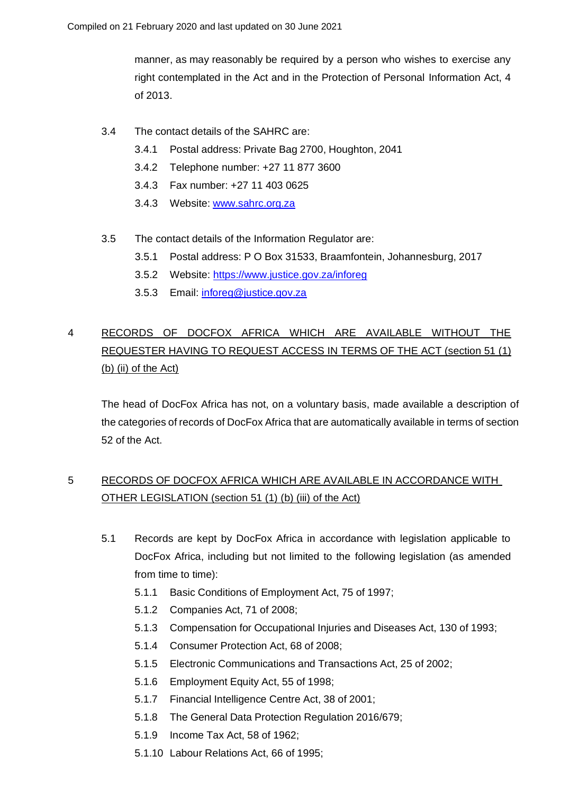manner, as may reasonably be required by a person who wishes to exercise any right contemplated in the Act and in the Protection of Personal Information Act, 4 of 2013.

- 3.4 The contact details of the SAHRC are:
	- 3.4.1 Postal address: Private Bag 2700, Houghton, 2041
	- 3.4.2 Telephone number: +27 11 877 3600
	- 3.4.3 Fax number: +27 11 403 0625
	- 3.4.3 Website: [www.sahrc.org.za](http://www.sahrc.org.za/)
- 3.5 The contact details of the Information Regulator are:
	- 3.5.1 Postal address: P O Box 31533, Braamfontein, Johannesburg, 2017
	- 3.5.2 Website:<https://www.justice.gov.za/inforeg>
	- 3.5.3 Email: [inforeg@justice.gov.za](mailto:inforeg@justice.gov.za)

# 4 RECORDS OF DOCFOX AFRICA WHICH ARE AVAILABLE WITHOUT THE REQUESTER HAVING TO REQUEST ACCESS IN TERMS OF THE ACT (section 51 (1) (b) (ii) of the Act)

The head of DocFox Africa has not, on a voluntary basis, made available a description of the categories of records of DocFox Africa that are automatically available in terms of section 52 of the Act.

## 5 RECORDS OF DOCFOX AFRICA WHICH ARE AVAILABLE IN ACCORDANCE WITH OTHER LEGISLATION (section 51 (1) (b) (iii) of the Act)

- 5.1 Records are kept by DocFox Africa in accordance with legislation applicable to DocFox Africa, including but not limited to the following legislation (as amended from time to time):
	- 5.1.1 Basic Conditions of Employment Act, 75 of 1997;
	- 5.1.2 Companies Act, 71 of 2008;
	- 5.1.3 Compensation for Occupational Injuries and Diseases Act, 130 of 1993;
	- 5.1.4 Consumer Protection Act, 68 of 2008;
	- 5.1.5 Electronic Communications and Transactions Act, 25 of 2002;
	- 5.1.6 Employment Equity Act, 55 of 1998;
	- 5.1.7 Financial Intelligence Centre Act, 38 of 2001;
	- 5.1.8 The General Data Protection Regulation 2016/679;
	- 5.1.9 Income Tax Act, 58 of 1962;
	- 5.1.10 Labour Relations Act, 66 of 1995;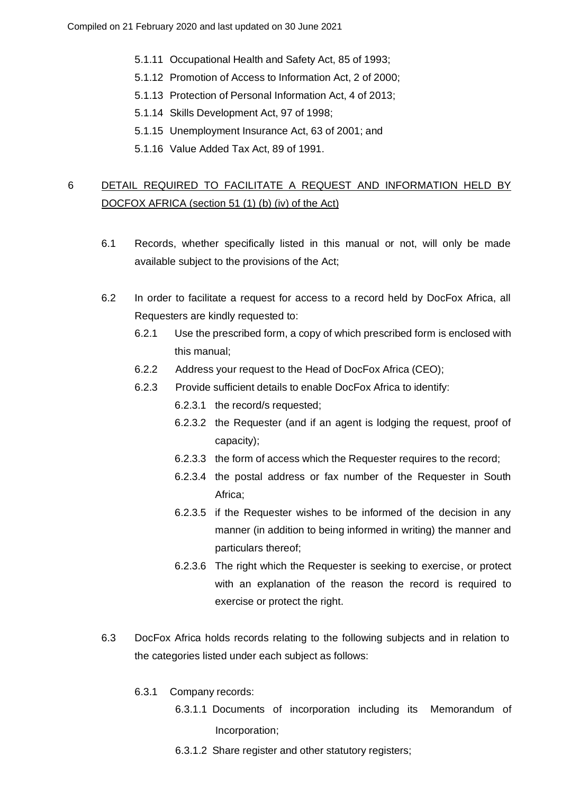- 5.1.11 Occupational Health and Safety Act, 85 of 1993;
- 5.1.12 Promotion of Access to Information Act, 2 of 2000;
- 5.1.13 Protection of Personal Information Act, 4 of 2013;
- 5.1.14 Skills Development Act, 97 of 1998;
- 5.1.15 Unemployment Insurance Act, 63 of 2001; and
- 5.1.16 Value Added Tax Act, 89 of 1991.

## 6 DETAIL REQUIRED TO FACILITATE A REQUEST AND INFORMATION HELD BY DOCFOX AFRICA (section 51 (1) (b) (iv) of the Act)

- 6.1 Records, whether specifically listed in this manual or not, will only be made available subject to the provisions of the Act;
- 6.2 In order to facilitate a request for access to a record held by DocFox Africa, all Requesters are kindly requested to:
	- 6.2.1 Use the prescribed form, a copy of which prescribed form is enclosed with this manual;
	- 6.2.2 Address your request to the Head of DocFox Africa (CEO);
	- 6.2.3 Provide sufficient details to enable DocFox Africa to identify:
		- 6.2.3.1 the record/s requested;
		- 6.2.3.2 the Requester (and if an agent is lodging the request, proof of capacity);
		- 6.2.3.3 the form of access which the Requester requires to the record;
		- 6.2.3.4 the postal address or fax number of the Requester in South Africa;
		- 6.2.3.5 if the Requester wishes to be informed of the decision in any manner (in addition to being informed in writing) the manner and particulars thereof;
		- 6.2.3.6 The right which the Requester is seeking to exercise, or protect with an explanation of the reason the record is required to exercise or protect the right.
- 6.3 DocFox Africa holds records relating to the following subjects and in relation to the categories listed under each subject as follows:
	- 6.3.1 Company records:
		- 6.3.1.1 Documents of incorporation including its Memorandum of Incorporation;
		- 6.3.1.2 Share register and other statutory registers;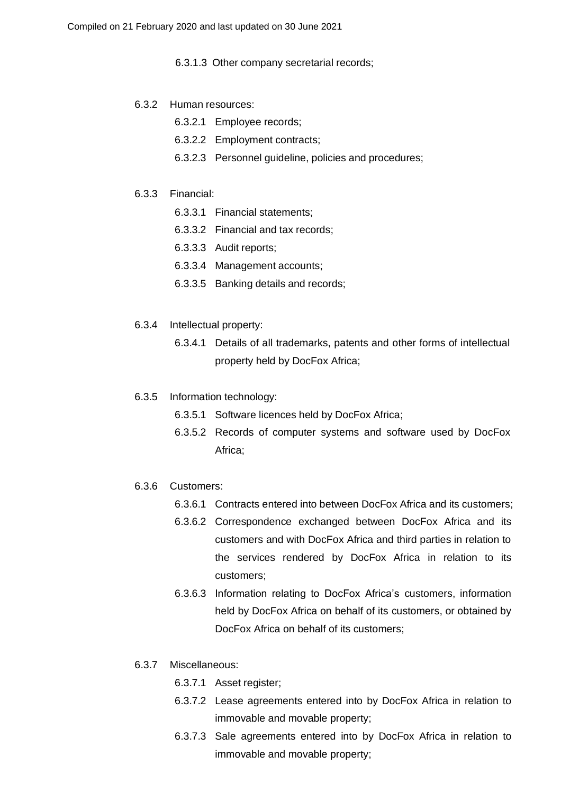6.3.1.3 Other company secretarial records;

### 6.3.2 Human resources:

- 6.3.2.1 Employee records;
- 6.3.2.2 Employment contracts;
- 6.3.2.3 Personnel guideline, policies and procedures;
- 6.3.3 Financial:
	- 6.3.3.1 Financial statements;
	- 6.3.3.2 Financial and tax records;
	- 6.3.3.3 Audit reports;
	- 6.3.3.4 Management accounts;
	- 6.3.3.5 Banking details and records;
- 6.3.4 Intellectual property:
	- 6.3.4.1 Details of all trademarks, patents and other forms of intellectual property held by DocFox Africa;
- 6.3.5 Information technology:
	- 6.3.5.1 Software licences held by DocFox Africa;
	- 6.3.5.2 Records of computer systems and software used by DocFox Africa;
- 6.3.6 Customers:
	- 6.3.6.1 Contracts entered into between DocFox Africa and its customers;
	- 6.3.6.2 Correspondence exchanged between DocFox Africa and its customers and with DocFox Africa and third parties in relation to the services rendered by DocFox Africa in relation to its customers;
	- 6.3.6.3 Information relating to DocFox Africa's customers, information held by DocFox Africa on behalf of its customers, or obtained by DocFox Africa on behalf of its customers;
- 6.3.7 Miscellaneous:
	- 6.3.7.1 Asset register;
	- 6.3.7.2 Lease agreements entered into by DocFox Africa in relation to immovable and movable property;
	- 6.3.7.3 Sale agreements entered into by DocFox Africa in relation to immovable and movable property;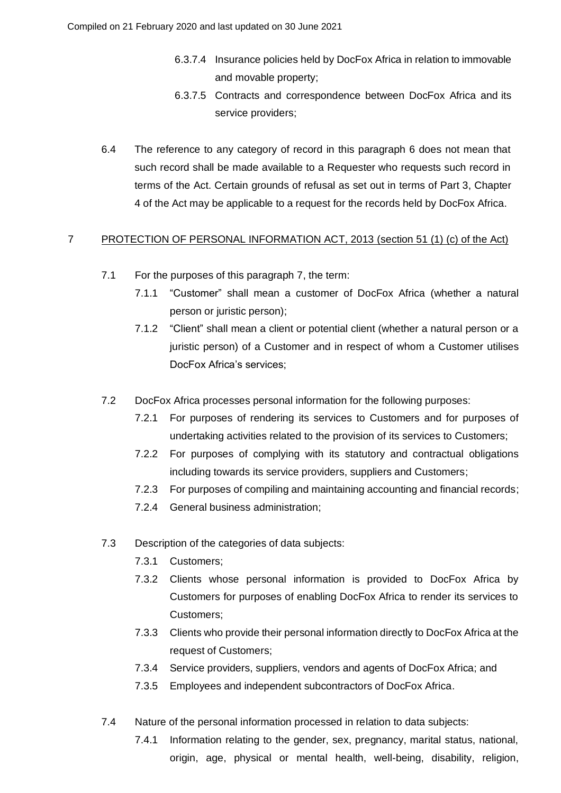- 6.3.7.4 Insurance policies held by DocFox Africa in relation to immovable and movable property;
- 6.3.7.5 Contracts and correspondence between DocFox Africa and its service providers;
- 6.4 The reference to any category of record in this paragraph 6 does not mean that such record shall be made available to a Requester who requests such record in terms of the Act. Certain grounds of refusal as set out in terms of Part 3, Chapter 4 of the Act may be applicable to a request for the records held by DocFox Africa.

### 7 PROTECTION OF PERSONAL INFORMATION ACT, 2013 (section 51 (1) (c) of the Act)

- 7.1 For the purposes of this paragraph 7, the term:
	- 7.1.1 "Customer" shall mean a customer of DocFox Africa (whether a natural person or juristic person);
	- 7.1.2 "Client" shall mean a client or potential client (whether a natural person or a juristic person) of a Customer and in respect of whom a Customer utilises DocFox Africa's services;
- 7.2 DocFox Africa processes personal information for the following purposes:
	- 7.2.1 For purposes of rendering its services to Customers and for purposes of undertaking activities related to the provision of its services to Customers;
	- 7.2.2 For purposes of complying with its statutory and contractual obligations including towards its service providers, suppliers and Customers;
	- 7.2.3 For purposes of compiling and maintaining accounting and financial records;
	- 7.2.4 General business administration;
- 7.3 Description of the categories of data subjects:
	- 7.3.1 Customers;
	- 7.3.2 Clients whose personal information is provided to DocFox Africa by Customers for purposes of enabling DocFox Africa to render its services to Customers;
	- 7.3.3 Clients who provide their personal information directly to DocFox Africa at the request of Customers;
	- 7.3.4 Service providers, suppliers, vendors and agents of DocFox Africa; and
	- 7.3.5 Employees and independent subcontractors of DocFox Africa.
- 7.4 Nature of the personal information processed in relation to data subjects:
	- 7.4.1 Information relating to the gender, sex, pregnancy, marital status, national, origin, age, physical or mental health, well-being, disability, religion,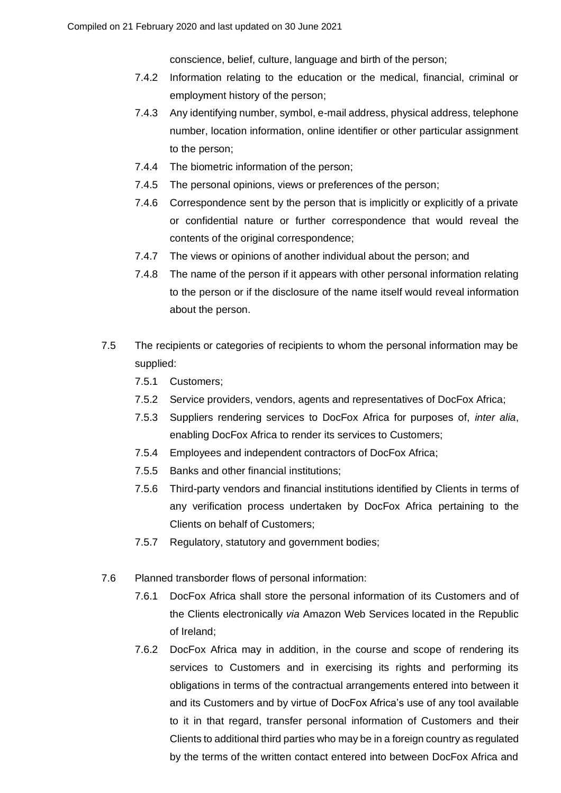conscience, belief, culture, language and birth of the person;

- 7.4.2 Information relating to the education or the medical, financial, criminal or employment history of the person;
- 7.4.3 Any identifying number, symbol, e-mail address, physical address, telephone number, location information, online identifier or other particular assignment to the person;
- 7.4.4 The biometric information of the person;
- 7.4.5 The personal opinions, views or preferences of the person;
- 7.4.6 Correspondence sent by the person that is implicitly or explicitly of a private or confidential nature or further correspondence that would reveal the contents of the original correspondence;
- 7.4.7 The views or opinions of another individual about the person; and
- 7.4.8 The name of the person if it appears with other personal information relating to the person or if the disclosure of the name itself would reveal information about the person.
- 7.5 The recipients or categories of recipients to whom the personal information may be supplied:
	- 7.5.1 Customers;
	- 7.5.2 Service providers, vendors, agents and representatives of DocFox Africa;
	- 7.5.3 Suppliers rendering services to DocFox Africa for purposes of, *inter alia*, enabling DocFox Africa to render its services to Customers;
	- 7.5.4 Employees and independent contractors of DocFox Africa;
	- 7.5.5 Banks and other financial institutions;
	- 7.5.6 Third-party vendors and financial institutions identified by Clients in terms of any verification process undertaken by DocFox Africa pertaining to the Clients on behalf of Customers;
	- 7.5.7 Regulatory, statutory and government bodies;
- 7.6 Planned transborder flows of personal information:
	- 7.6.1 DocFox Africa shall store the personal information of its Customers and of the Clients electronically *via* Amazon Web Services located in the Republic of Ireland;
	- 7.6.2 DocFox Africa may in addition, in the course and scope of rendering its services to Customers and in exercising its rights and performing its obligations in terms of the contractual arrangements entered into between it and its Customers and by virtue of DocFox Africa's use of any tool available to it in that regard, transfer personal information of Customers and their Clients to additional third parties who may be in a foreign country as regulated by the terms of the written contact entered into between DocFox Africa and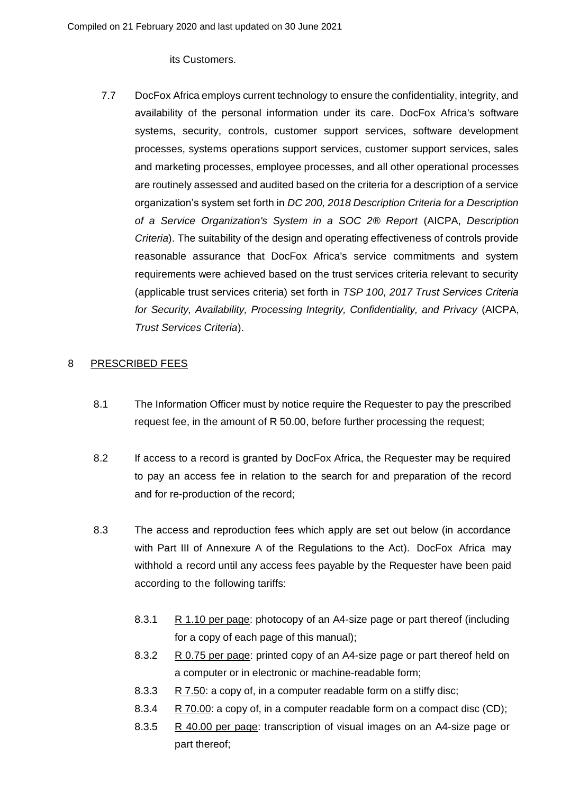its Customers.

7.7 DocFox Africa employs current technology to ensure the confidentiality, integrity, and availability of the personal information under its care. DocFox Africa's software systems, security, controls, customer support services, software development processes, systems operations support services, customer support services, sales and marketing processes, employee processes, and all other operational processes are routinely assessed and audited based on the criteria for a description of a service organization's system set forth in *DC 200, 2018 Description Criteria for a Description of a Service Organization's System in a SOC 2® Report* (AICPA, *Description Criteria*). The suitability of the design and operating effectiveness of controls provide reasonable assurance that DocFox Africa's service commitments and system requirements were achieved based on the trust services criteria relevant to security (applicable trust services criteria) set forth in *TSP 100, 2017 Trust Services Criteria for Security, Availability, Processing Integrity, Confidentiality, and Privacy* (AICPA, *Trust Services Criteria*).

### 8 PRESCRIBED FEES

- 8.1 The Information Officer must by notice require the Requester to pay the prescribed request fee, in the amount of R 50.00, before further processing the request;
- 8.2 If access to a record is granted by DocFox Africa, the Requester may be required to pay an access fee in relation to the search for and preparation of the record and for re-production of the record;
- 8.3 The access and reproduction fees which apply are set out below (in accordance with Part III of Annexure A of the Regulations to the Act). DocFox Africa may withhold a record until any access fees payable by the Requester have been paid according to the following tariffs:
	- 8.3.1 R 1.10 per page: photocopy of an A4-size page or part thereof (including for a copy of each page of this manual);
	- 8.3.2 R 0.75 per page: printed copy of an A4-size page or part thereof held on a computer or in electronic or machine-readable form;
	- 8.3.3 R 7.50: a copy of, in a computer readable form on a stiffy disc;
	- 8.3.4 R 70.00: a copy of, in a computer readable form on a compact disc (CD);
	- 8.3.5 R 40.00 per page: transcription of visual images on an A4-size page or part thereof;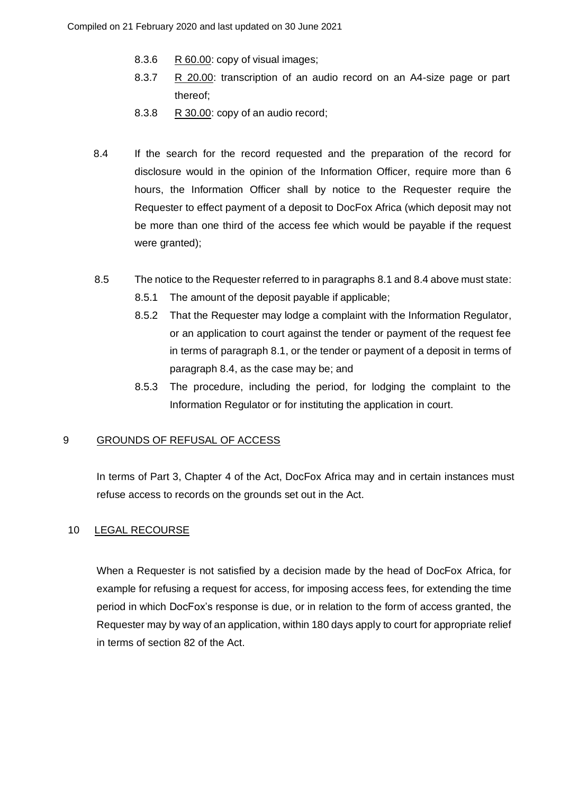- 8.3.6 R 60.00: copy of visual images;
- 8.3.7 R 20.00: transcription of an audio record on an A4-size page or part thereof;
- 8.3.8 R 30.00: copy of an audio record;
- 8.4 If the search for the record requested and the preparation of the record for disclosure would in the opinion of the Information Officer, require more than 6 hours, the Information Officer shall by notice to the Requester require the Requester to effect payment of a deposit to DocFox Africa (which deposit may not be more than one third of the access fee which would be payable if the request were granted);
- 8.5 The notice to the Requester referred to in paragraphs 8.1 and 8.4 above must state:
	- 8.5.1 The amount of the deposit payable if applicable;
	- 8.5.2 That the Requester may lodge a complaint with the Information Regulator, or an application to court against the tender or payment of the request fee in terms of paragraph 8.1, or the tender or payment of a deposit in terms of paragraph 8.4, as the case may be; and
	- 8.5.3 The procedure, including the period, for lodging the complaint to the Information Regulator or for instituting the application in court.

### 9 GROUNDS OF REFUSAL OF ACCESS

In terms of Part 3, Chapter 4 of the Act, DocFox Africa may and in certain instances must refuse access to records on the grounds set out in the Act.

### 10 LEGAL RECOURSE

When a Requester is not satisfied by a decision made by the head of DocFox Africa, for example for refusing a request for access, for imposing access fees, for extending the time period in which DocFox's response is due, or in relation to the form of access granted, the Requester may by way of an application, within 180 days apply to court for appropriate relief in terms of section 82 of the Act.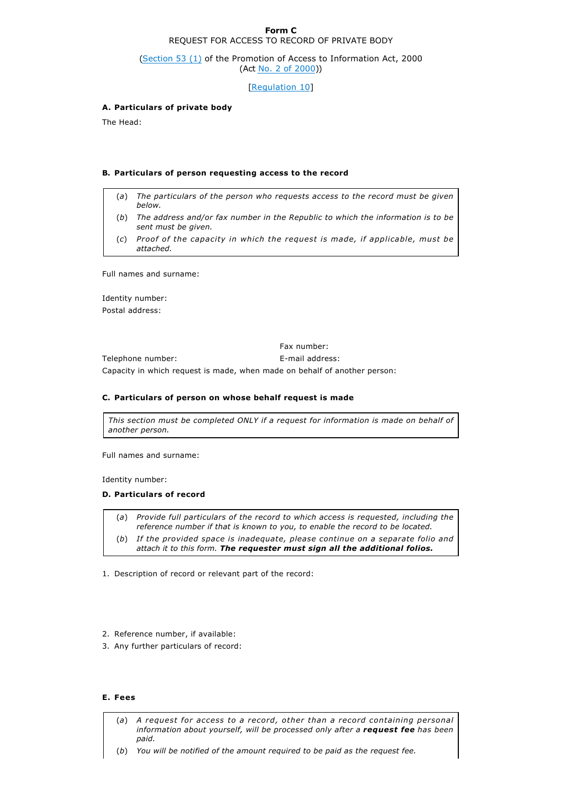#### **Form C** REQUEST FOR ACCESS TO RECORD OF PRIVATE BODY

(Section 53 (1) of the Promotion of Access to Information Act, 2000 (Act No. 2 of 2000))

[Regulation 10]

### **A. Particulars of private body**

The Head:

#### **B. Particulars of person requesting access to the record**

- (*a*) *The particulars of the person who requests access to the record must be given below.*
- (*b*) *The address and/or fax number in the Republic to which the information is to be sent must be given.*
- (*c*) *Proof of the capacity in which the request is made, if applicable, must be attached.*

Full names and surname:

Identity number: Postal address:

Fax number: Telephone number: E-mail address: Capacity in which request is made, when made on behalf of another person:

#### **C. Particulars of person on whose behalf request is made**

*This section must be completed ONLY if a request for information is made on behalf of another person.*

Full names and surname:

Identity number:

#### **D. Particulars of record**

(*a*) *Provide full particulars of the record to which access is requested, including the reference number if that is known to you, to enable the record to be located.*

- (*b*) *If the provided space is inadequate, please continue on a separate folio and attach it to this form. The requester must sign all the additional folios.*
- 1. Description of record or relevant part of the record:
- 2. Reference number, if available:
- 3. Any further particulars of record:

#### **E. Fees**

- (*a*) *A request for access to a record, other than a record containing personal information about yourself, will be processed only after a request fee has been paid.*
- (*b*) *You will be notified of the amount required to be paid as the request fee.*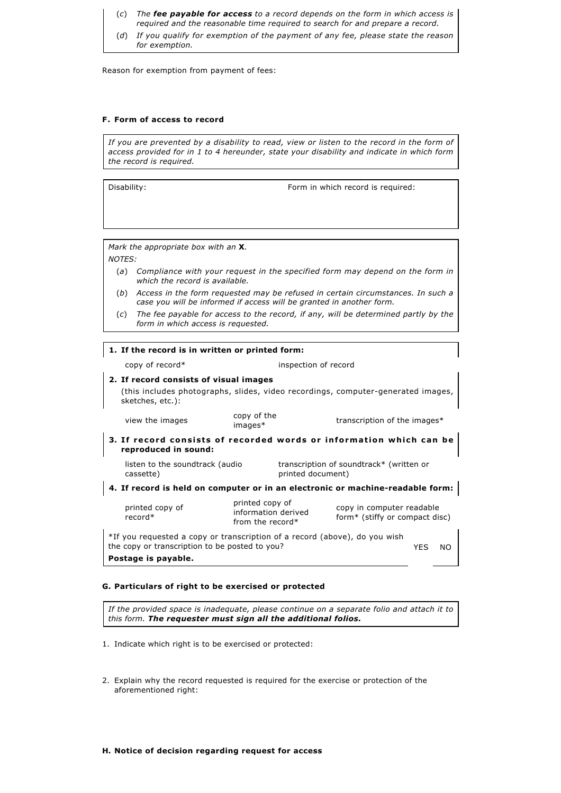- (*c*) *The fee payable for access to a record depends on the form in which access is required and the reasonable time required to search for and prepare a record.*
- (*d*) *If you qualify for exemption of the payment of any fee, please state the reason for exemption.*

Reason for exemption from payment of fees:

#### **F. Form of access to record**

*If you are prevented by a disability to read, view or listen to the record in the form of access provided for in 1 to 4 hereunder, state your disability and indicate in which form the record is required.*

Disability: The state of the state of the Form in which record is required:

*Mark the appropriate box with an* **X**.

*NOTES:*

- (*a*) *Compliance with your request in the specified form may depend on the form in which the record is available.*
- (*b*) *Access in the form requested may be refused in certain circumstances. In such a case you will be informed if access will be granted in another form.*
- (*c*) *The fee payable for access to the record, if any, will be determined partly by the form in which access is requested.*

### **1. If the record is in written or printed form:**

copy of record\* inspection of record

#### **2. If record consists of visual images**

(this includes photographs, slides, video recordings, computer-generated images, sketches, etc.):

view the images copy of the<br>
images\*

**3. If record consists of recorded words or information which can be reproduced in sound:**

listen to the soundtrack (audio cassette)

transcription of soundtrack\* (written or printed document)

**4. If record is held on computer or in an electronic or machinereadable form:**

printed copy of record\*

printed copy of information derived from the record\*

copy in computer readable form\* (stiffy or compact disc)

transcription of the images $*$ 

\*If you requested a copy or transcription of a record (above), do you wish the copy or transcription to be posted to you? **Postage is payable.** YES NO

#### **G. Particulars of right to be exercised or protected**

*If the provided space is inadequate, please continue on a separate folio and attach it to this form. The requester must sign all the additional folios.*

- 1. Indicate which right is to be exercised or protected:
- 2. Explain why the record requested is required for the exercise or protection of the aforementioned right:

#### **H. Notice of decision regarding request for access**